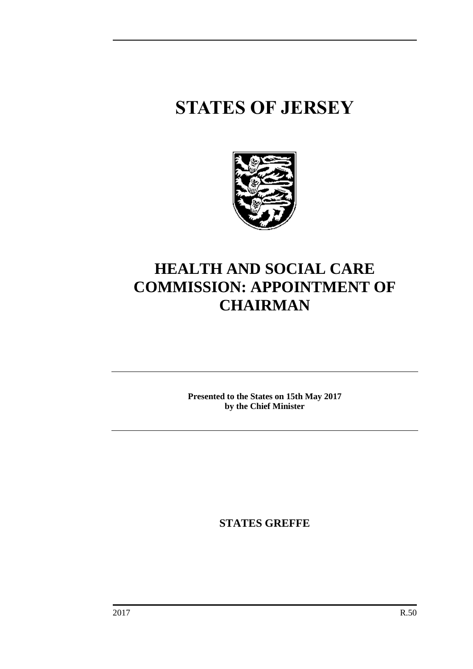# **STATES OF JERSEY**



# **HEALTH AND SOCIAL CARE COMMISSION: APPOINTMENT OF CHAIRMAN**

**Presented to the States on 15th May 2017 by the Chief Minister**

**STATES GREFFE**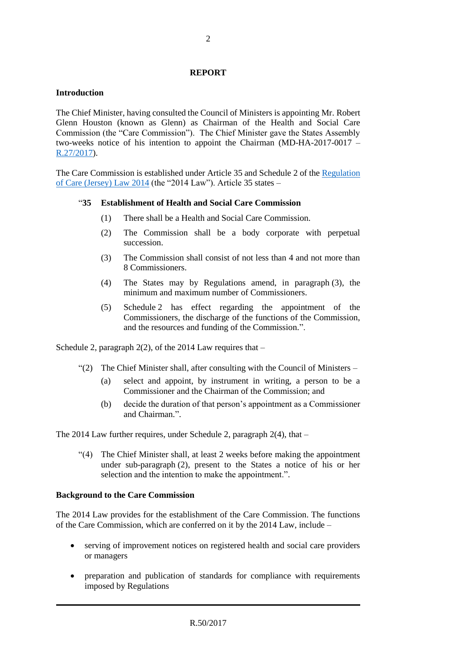# **REPORT**

# **Introduction**

The Chief Minister, having consulted the Council of Ministers is appointing Mr. Robert Glenn Houston (known as Glenn) as Chairman of the Health and Social Care Commission (the "Care Commission"). The Chief Minister gave the States Assembly two-weeks notice of his intention to appoint the Chairman (MD-HA-2017-0017 – [R.27/2017\)](http://www.statesassembly.gov.je/AssemblyReports/2017/R.27-2017(re-issue).pdf).

The Care Commission is established under Article 35 and Schedule 2 of the [Regulation](https://www.jerseylaw.je/laws/revised/Pages/20.820.aspx)  [of Care \(Jersey\) Law 2014](https://www.jerseylaw.je/laws/revised/Pages/20.820.aspx) (the "2014 Law"). Article 35 states –

#### "**35 Establishment of Health and Social Care Commission**

- (1) There shall be a Health and Social Care Commission.
- (2) The Commission shall be a body corporate with perpetual succession.
- (3) The Commission shall consist of not less than 4 and not more than 8 Commissioners.
- (4) The States may by Regulations amend, in paragraph (3), the minimum and maximum number of Commissioners.
- (5) Schedule 2 has effect regarding the appointment of the Commissioners, the discharge of the functions of the Commission, and the resources and funding of the Commission.".

Schedule 2, paragraph  $2(2)$ , of the 2014 Law requires that –

- $"$ (2) The Chief Minister shall, after consulting with the Council of Ministers
	- (a) select and appoint, by instrument in writing, a person to be a Commissioner and the Chairman of the Commission; and
	- (b) decide the duration of that person's appointment as a Commissioner and Chairman.".

The 2014 Law further requires, under Schedule 2, paragraph 2(4), that –

"(4) The Chief Minister shall, at least 2 weeks before making the appointment under sub-paragraph (2), present to the States a notice of his or her selection and the intention to make the appointment.".

# **Background to the Care Commission**

The 2014 Law provides for the establishment of the Care Commission. The functions of the Care Commission, which are conferred on it by the 2014 Law, include –

- serving of improvement notices on registered health and social care providers or managers
- preparation and publication of standards for compliance with requirements imposed by Regulations